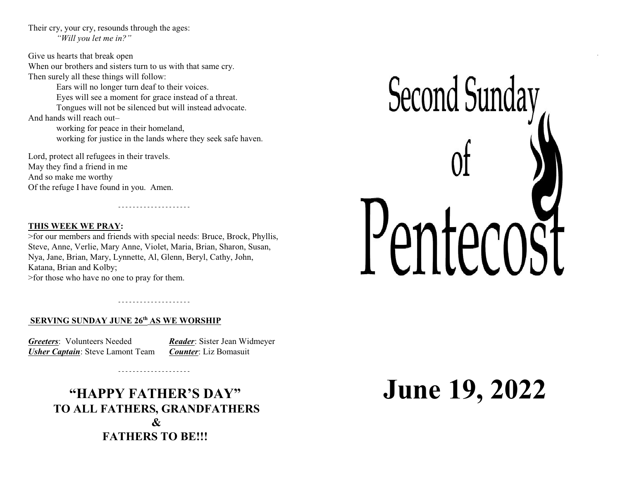Their cry, your cry, resounds through the ages: *"Will you let me in?"*

Give us hearts that break open When our brothers and sisters turn to us with that same cry. Then surely all these things will follow: Ears will no longer turn deaf to their voices. Eyes will see a moment for grace instead of a threat. Tongues will not be silenced but will instead advocate. And hands will reach out– working for peace in their homeland, working for justice in the lands where they seek safe haven.

Lord, protect all refugees in their travels. May they find a friend in me And so make me worthy Of the refuge I have found in you. Amen.

### **THIS WEEK WE PRAY:**

>for our members and friends with special needs: Bruce, Brock, Phyllis, Steve, Anne, Verlie, Mary Anne, Violet, Maria, Brian, Sharon, Susan, Nya, Jane, Brian, Mary, Lynnette, Al, Glenn, Beryl, Cathy, John, Katana, Brian and Kolby; >for those who have no one to pray for them.

### **SERVING SUNDAY JUNE 26th AS WE WORSHIP**

*Greeters*: Volunteers Needed *Reader*: Sister Jean Widmeyer *Usher Captain*: Steve Lamont Team *Counter*: Liz Bomasuit

# **"HAPPY FATHER'S DAY" TO ALL FATHERS, GRANDFATHERS & FATHERS TO BE!!!**

# **June 19, 2022**

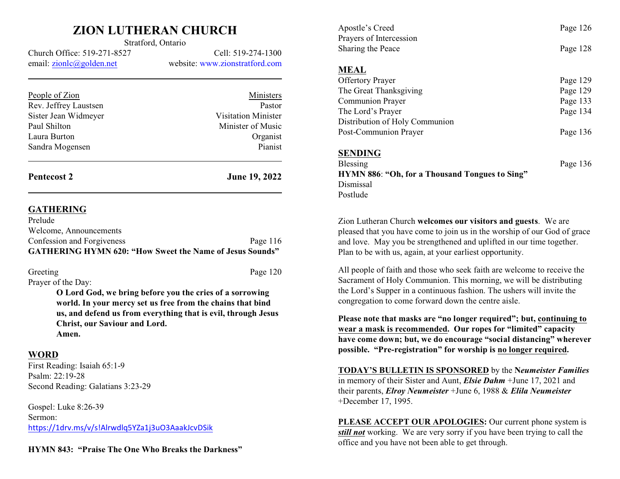## **ZION LUTHERAN CHURCH** Stratford, Ontario

Church Office: 519-271-8527 Cell: 519-274-1300 email: [zionlc@golden.net](mailto:zionlc@golden.net) website: www.zionstratford.com

| Pastor                     |
|----------------------------|
| <b>Visitation Minister</b> |
| Minister of Music          |
| Organist                   |
| Pianist                    |
|                            |
|                            |

**Pentecost 2 June 19, 2022**

Page 120

### **GATHERING**

| <b>GATHERING HYMN 620: "How Sweet the Name of Jesus Sounds"</b> |            |
|-----------------------------------------------------------------|------------|
| Confession and Forgiveness                                      | Page $116$ |
| Welcome, Announcements                                          |            |
| Prelude                                                         |            |

| Greeting           |  |  |
|--------------------|--|--|
| Prayer of the Day: |  |  |

**O Lord God, we bring before you the cries of a sorrowing world. In your mercy set us free from the chains that bind us, and defend us from everything that is evil, through Jesus Christ, our Saviour and Lord. Amen.**

### **WORD**

First Reading: Isaiah 65:1-9 Psalm: 22:19-28 Second Reading: Galatians 3:23-29

Gospel: Luke 8:26-39 Sermon: <https://1drv.ms/v/s!Alrwdlq5YZa1j3uO3AaakJcvDSik>

**HYMN 843: "Praise The One Who Breaks the Darkness"**

| Apostle's Creed<br>Prayers of Intercession<br>Sharing the Peace | Page 126 |
|-----------------------------------------------------------------|----------|
|                                                                 | Page 128 |
| <b>MEAL</b>                                                     |          |
| <b>Offertory Prayer</b>                                         | Page 129 |
| The Great Thanksgiving                                          | Page 129 |
| Communion Prayer                                                | Page 133 |
| The Lord's Prayer                                               | Page 134 |
| Distribution of Holy Communion                                  |          |
| Post-Communion Prayer                                           | Page 136 |
| <b>SENDING</b>                                                  |          |
| Blessing                                                        | Page 136 |
| <b>HYMN 886: "Oh, for a Thousand Tongues to Sing"</b>           |          |
| Dismissal                                                       |          |
| Postlude                                                        |          |
|                                                                 |          |

Zion Lutheran Church **welcomes our visitors and guests**. We are pleased that you have come to join us in the worship of our God of grace and love. May you be strengthened and uplifted in our time together. Plan to be with us, again, at your earliest opportunity.

All people of faith and those who seek faith are welcome to receive the Sacrament of Holy Communion. This morning, we will be distributing the Lord's Supper in a continuous fashion. The ushers will invite the congregation to come forward down the centre aisle.

**Please note that masks are "no longer required"; but, continuing to wear a mask is recommended. Our ropes for "limited" capacity have come down; but, we do encourage "social distancing" wherever possible. "Pre-registration" for worship is no longer required.**

**TODAY'S BULLETIN IS SPONSORED** by the **N***eumeister Families* in memory of their Sister and Aunt, *Elsie Dahm* +June 17, 2021 and their parents, *Elroy Neumeister* +June 6, 1988 & *Elila Neumeister* +December 17, 1995.

**PLEASE ACCEPT OUR APOLOGIES:** Our current phone system is *still not* working. We are very sorry if you have been trying to call the office and you have not been able to get through.